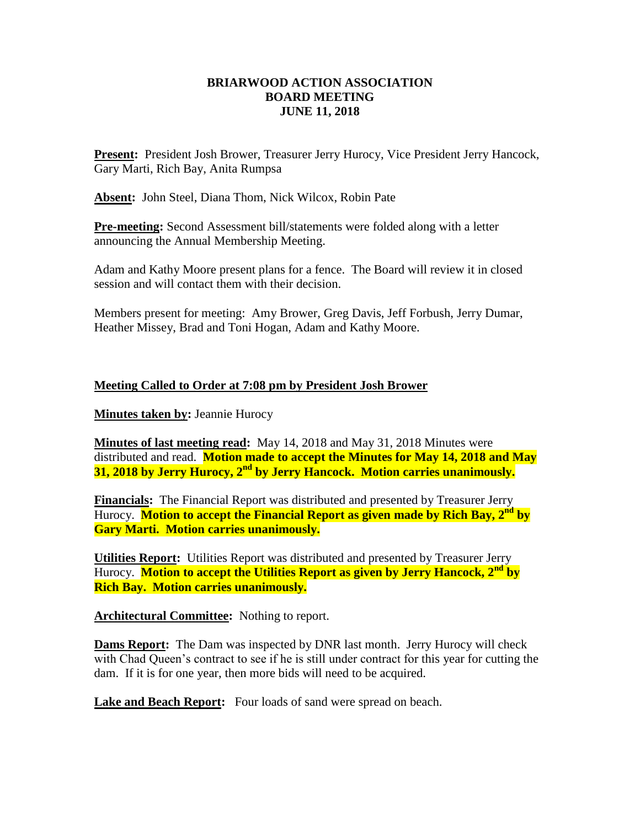# **BRIARWOOD ACTION ASSOCIATION BOARD MEETING JUNE 11, 2018**

**Present:** President Josh Brower, Treasurer Jerry Hurocy, Vice President Jerry Hancock, Gary Marti, Rich Bay, Anita Rumpsa

**Absent:** John Steel, Diana Thom, Nick Wilcox, Robin Pate

**Pre-meeting:** Second Assessment bill/statements were folded along with a letter announcing the Annual Membership Meeting.

Adam and Kathy Moore present plans for a fence. The Board will review it in closed session and will contact them with their decision.

Members present for meeting: Amy Brower, Greg Davis, Jeff Forbush, Jerry Dumar, Heather Missey, Brad and Toni Hogan, Adam and Kathy Moore.

## **Meeting Called to Order at 7:08 pm by President Josh Brower**

**Minutes taken by:** Jeannie Hurocy

**Minutes of last meeting read:** May 14, 2018 and May 31, 2018 Minutes were distributed and read. **Motion made to accept the Minutes for May 14, 2018 and May 31, 2018 by Jerry Hurocy, 2nd by Jerry Hancock. Motion carries unanimously.**

**Financials:** The Financial Report was distributed and presented by Treasurer Jerry Hurocy. **Motion to accept the Financial Report as given made by Rich Bay, 2nd by Gary Marti. Motion carries unanimously.**

**Utilities Report:** Utilities Report was distributed and presented by Treasurer Jerry Hurocy. **Motion to accept the Utilities Report as given by Jerry Hancock, 2nd by Rich Bay. Motion carries unanimously.**

**Architectural Committee:** Nothing to report.

**Dams Report:** The Dam was inspected by DNR last month. Jerry Hurocy will check with Chad Queen's contract to see if he is still under contract for this year for cutting the dam. If it is for one year, then more bids will need to be acquired.

Lake and Beach Report: Four loads of sand were spread on beach.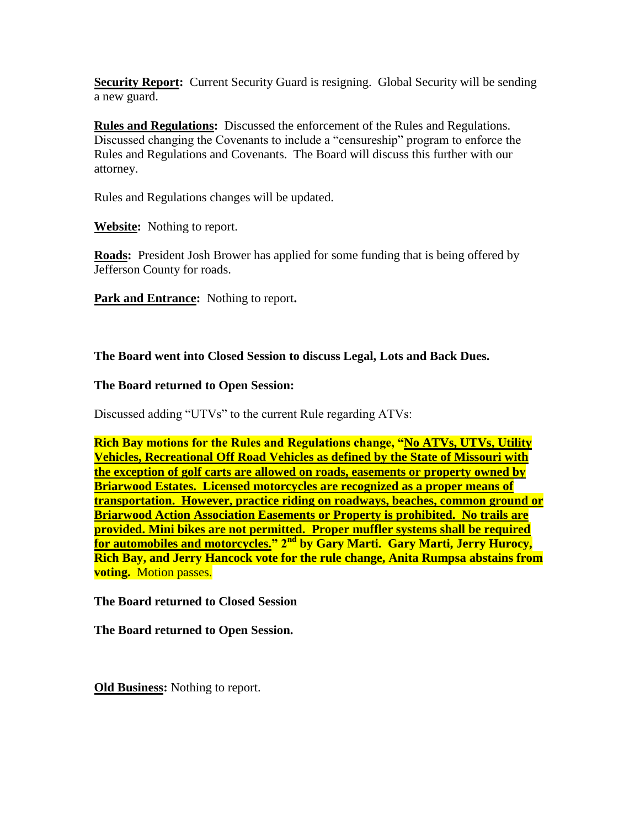**Security Report:** Current Security Guard is resigning. Global Security will be sending a new guard.

**Rules and Regulations:** Discussed the enforcement of the Rules and Regulations. Discussed changing the Covenants to include a "censureship" program to enforce the Rules and Regulations and Covenants. The Board will discuss this further with our attorney.

Rules and Regulations changes will be updated.

**Website:** Nothing to report.

**Roads:** President Josh Brower has applied for some funding that is being offered by Jefferson County for roads.

**Park and Entrance:** Nothing to report**.**

## **The Board went into Closed Session to discuss Legal, Lots and Back Dues.**

#### **The Board returned to Open Session:**

Discussed adding "UTVs" to the current Rule regarding ATVs:

**Rich Bay motions for the Rules and Regulations change, "No ATVs, UTVs, Utility Vehicles, Recreational Off Road Vehicles as defined by the State of Missouri with the exception of golf carts are allowed on roads, easements or property owned by Briarwood Estates. Licensed motorcycles are recognized as a proper means of transportation. However, practice riding on roadways, beaches, common ground or Briarwood Action Association Easements or Property is prohibited. No trails are provided. Mini bikes are not permitted. Proper muffler systems shall be required for automobiles and motorcycles." 2nd by Gary Marti. Gary Marti, Jerry Hurocy, Rich Bay, and Jerry Hancock vote for the rule change, Anita Rumpsa abstains from voting.** Motion passes.

#### **The Board returned to Closed Session**

**The Board returned to Open Session.**

**Old Business:** Nothing to report.